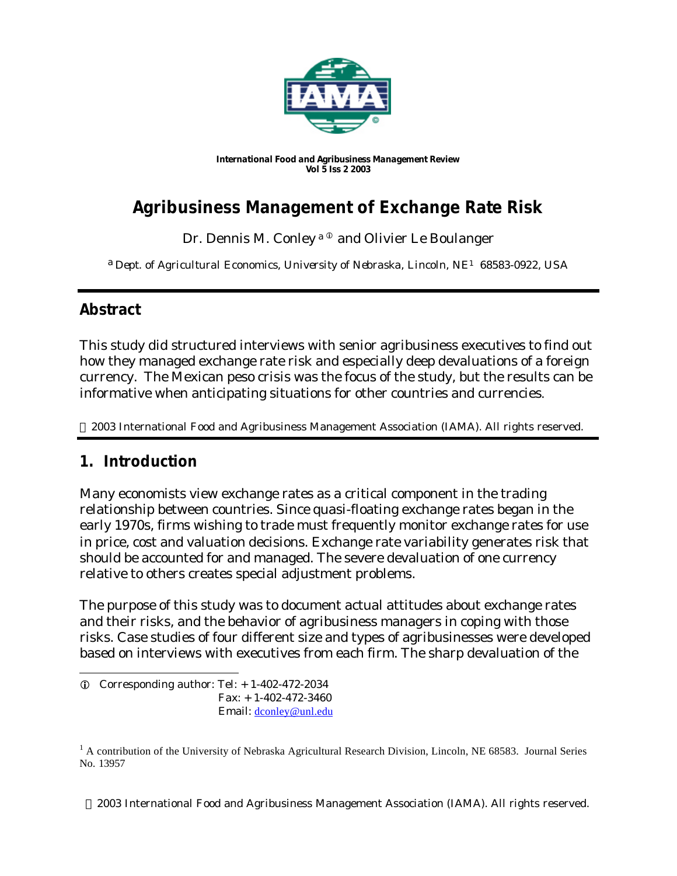

*International Food and Agribusiness Management Review Vol 5 Iss 2 2003*

# **Agribusiness Management of Exchange Rate Risk**

Dr. Dennis M. Conley a<sup>®</sup> and Olivier Le Boulanger

a *Dept. of Agricultural Economics, University of Nebraska, Lincoln, NE1 68583-0922, USA*

## **Abstract**

This study did structured interviews with senior agribusiness executives to find out how they managed exchange rate risk and especially deep devaluations of a foreign currency. The Mexican peso crisis was the focus of the study, but the results can be informative when anticipating situations for other countries and currencies.

2003 International Food and Agribusiness Management Association (IAMA). All rights reserved.

### **1. Introduction**

l

Many economists view exchange rates as a critical component in the trading relationship between countries. Since quasi-floating exchange rates began in the early 1970s, firms wishing to trade must frequently monitor exchange rates for use in price, cost and valuation decisions. Exchange rate variability generates risk that should be accounted for and managed. The severe devaluation of one currency relative to others creates special adjustment problems.

The purpose of this study was to document actual attitudes about exchange rates and their risks, and the behavior of agribusiness managers in coping with those risks. Case studies of four different size and types of agribusinesses were developed based on interviews with executives from each firm. The sharp devaluation of the

2003 International Food and Agribusiness Management Association (IAMA). All rights reserved.

 $D$  Corresponding author: Tel:  $+ 1-402-472-2034$  Fax: + 1-402-472-3460 Email: dconley@unl.edu

 $1$  A contribution of the University of Nebraska Agricultural Research Division, Lincoln, NE 68583. Journal Series No. 13957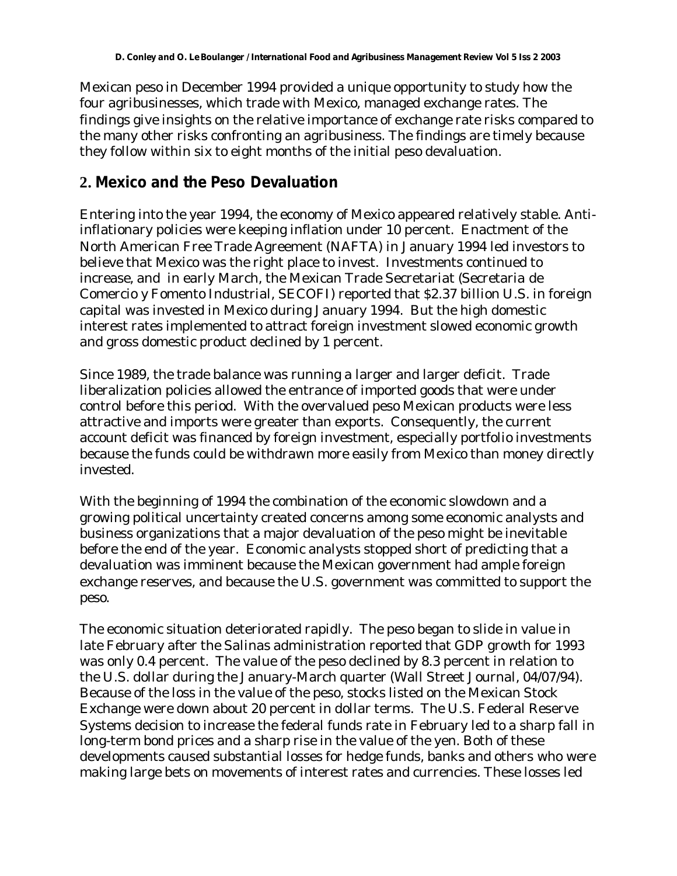Mexican peso in December 1994 provided a unique opportunity to study how the four agribusinesses, which trade with Mexico, managed exchange rates. The findings give insights on the relative importance of exchange rate risks compared to the many other risks confronting an agribusiness. The findings are timely because they follow within six to eight months of the initial peso devaluation.

### **2. Mexico and the Peso Devaluation**

Entering into the year 1994, the economy of Mexico appeared relatively stable. Antiinflationary policies were keeping inflation under 10 percent. Enactment of the North American Free Trade Agreement (NAFTA) in January 1994 led investors to believe that Mexico was the right place to invest. Investments continued to increase, and in early March, the Mexican Trade Secretariat (Secretaria de Comercio y Fomento Industrial, SECOFI) reported that \$2.37 billion U.S. in foreign capital was invested in Mexico during January 1994. But the high domestic interest rates implemented to attract foreign investment slowed economic growth and gross domestic product declined by 1 percent.

Since 1989, the trade balance was running a larger and larger deficit. Trade liberalization policies allowed the entrance of imported goods that were under control before this period. With the overvalued peso Mexican products were less attractive and imports were greater than exports. Consequently, the current account deficit was financed by foreign investment, especially portfolio investments because the funds could be withdrawn more easily from Mexico than money directly invested.

With the beginning of 1994 the combination of the economic slowdown and a growing political uncertainty created concerns among some economic analysts and business organizations that a major devaluation of the peso might be inevitable before the end of the year. Economic analysts stopped short of predicting that a devaluation was imminent because the Mexican government had ample foreign exchange reserves, and because the U.S. government was committed to support the peso.

The economic situation deteriorated rapidly. The peso began to slide in value in late February after the Salinas administration reported that GDP growth for 1993 was only 0.4 percent. The value of the peso declined by 8.3 percent in relation to the U.S. dollar during the January-March quarter (Wall Street Journal, 04/07/94). Because of the loss in the value of the peso, stocks listed on the Mexican Stock Exchange were down about 20 percent in dollar terms. The U.S. Federal Reserve Systems decision to increase the federal funds rate in February led to a sharp fall in long-term bond prices and a sharp rise in the value of the yen. Both of these developments caused substantial losses for hedge funds, banks and others who were making large bets on movements of interest rates and currencies. These losses led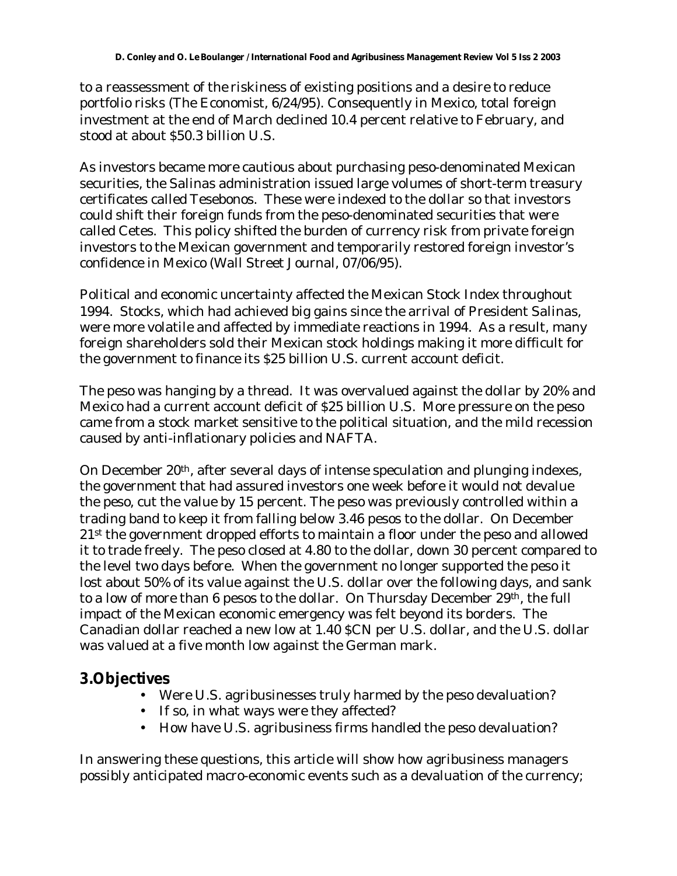to a reassessment of the riskiness of existing positions and a desire to reduce portfolio risks (The Economist, 6/24/95). Consequently in Mexico, total foreign investment at the end of March declined 10.4 percent relative to February, and stood at about \$50.3 billion U.S.

As investors became more cautious about purchasing peso-denominated Mexican securities, the Salinas administration issued large volumes of short-term treasury certificates called Tesebonos. These were indexed to the dollar so that investors could shift their foreign funds from the peso-denominated securities that were called Cetes. This policy shifted the burden of currency risk from private foreign investors to the Mexican government and temporarily restored foreign investor's confidence in Mexico (Wall Street Journal, 07/06/95).

Political and economic uncertainty affected the Mexican Stock Index throughout 1994. Stocks, which had achieved big gains since the arrival of President Salinas, were more volatile and affected by immediate reactions in 1994. As a result, many foreign shareholders sold their Mexican stock holdings making it more difficult for the government to finance its \$25 billion U.S. current account deficit.

The peso was hanging by a thread. It was overvalued against the dollar by 20% and Mexico had a current account deficit of \$25 billion U.S. More pressure on the peso came from a stock market sensitive to the political situation, and the mild recession caused by anti-inflationary policies and NAFTA.

On December 20th, after several days of intense speculation and plunging indexes, the government that had assured investors one week before it would not devalue the peso, cut the value by 15 percent. The peso was previously controlled within a trading band to keep it from falling below 3.46 pesos to the dollar. On December 21st the government dropped efforts to maintain a floor under the peso and allowed it to trade freely. The peso closed at 4.80 to the dollar, down 30 percent compared to the level two days before. When the government no longer supported the peso it lost about 50% of its value against the U.S. dollar over the following days, and sank to a low of more than 6 pesos to the dollar. On Thursday December 29th, the full impact of the Mexican economic emergency was felt beyond its borders. The Canadian dollar reached a new low at 1.40 \$CN per U.S. dollar, and the U.S. dollar was valued at a five month low against the German mark.

### **3.Objectives**

- Were U.S. agribusinesses truly harmed by the peso devaluation?
- If so, in what ways were they affected?
- How have U.S. agribusiness firms handled the peso devaluation?

In answering these questions, this article will show how agribusiness managers possibly anticipated macro-economic events such as a devaluation of the currency;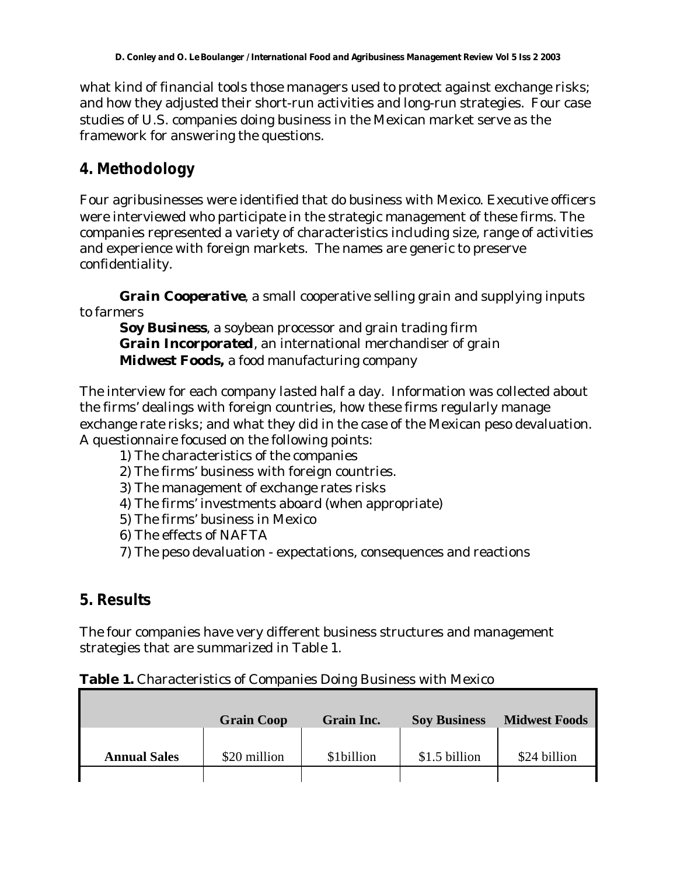what kind of financial tools those managers used to protect against exchange risks; and how they adjusted their short-run activities and long-run strategies. Four case studies of U.S. companies doing business in the Mexican market serve as the framework for answering the questions.

### **4. Methodology**

Four agribusinesses were identified that do business with Mexico. Executive officers were interviewed who participate in the strategic management of these firms. The companies represented a variety of characteristics including size, range of activities and experience with foreign markets. The names are generic to preserve confidentiality.

*Grain Cooperative*, a small cooperative selling grain and supplying inputs to farmers

*Soy Business*, a soybean processor and grain trading firm *Grain Incorporated*, an international merchandiser of grain *Midwest Foods,* a food manufacturing company

The interview for each company lasted half a day. Information was collected about the firms' dealings with foreign countries, how these firms regularly manage exchange rate risks; and what they did in the case of the Mexican peso devaluation. A questionnaire focused on the following points:

1) The characteristics of the companies

- 2) The firms' business with foreign countries.
- 3) The management of exchange rates risks
- 4) The firms' investments aboard (when appropriate)
- 5) The firms' business in Mexico
- 6) The effects of NAFTA
- 7) The peso devaluation expectations, consequences and reactions

### **5. Results**

The four companies have very different business structures and management strategies that are summarized in Table 1.

|  | Table 1. Characteristics of Companies Doing Business with Mexico |
|--|------------------------------------------------------------------|
|--|------------------------------------------------------------------|

|                     | <b>Grain Coop</b> | <b>Grain Inc.</b> | <b>Soy Business</b> | <b>Midwest Foods</b> |
|---------------------|-------------------|-------------------|---------------------|----------------------|
| <b>Annual Sales</b> | \$20 million      | \$1billion        | \$1.5 billion       | \$24 billion         |
|                     |                   |                   |                     |                      |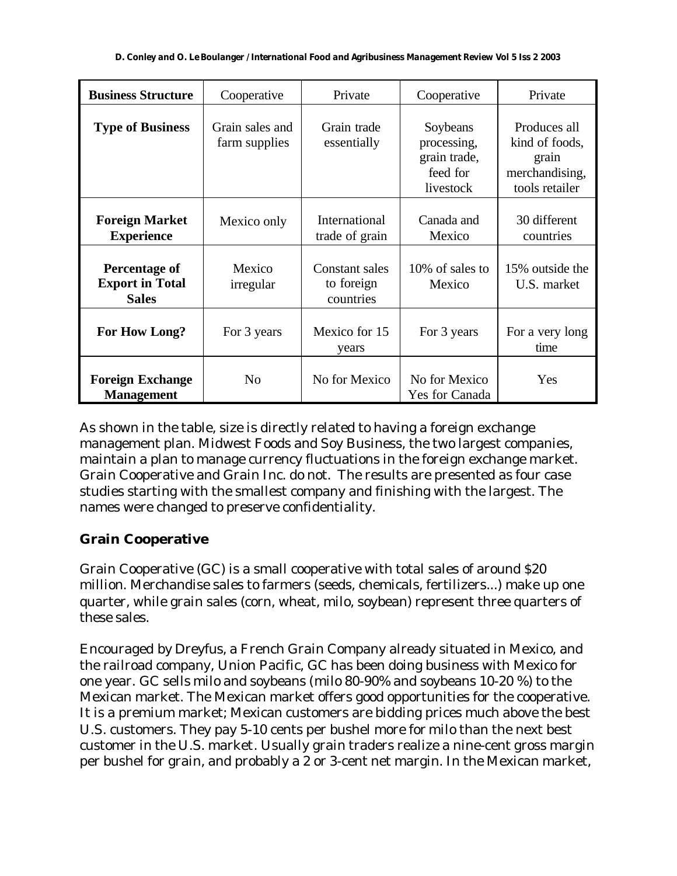| <b>Business Structure</b>                                      | Cooperative                      | Private                                          | Cooperative                                                      | Private                                                                     |
|----------------------------------------------------------------|----------------------------------|--------------------------------------------------|------------------------------------------------------------------|-----------------------------------------------------------------------------|
| <b>Type of Business</b>                                        | Grain sales and<br>farm supplies | Grain trade<br>essentially                       | Soybeans<br>processing,<br>grain trade,<br>feed for<br>livestock | Produces all<br>kind of foods,<br>grain<br>merchandising,<br>tools retailer |
| <b>Foreign Market</b><br><b>Experience</b>                     | Mexico only                      | International<br>trade of grain                  | Canada and<br>Mexico                                             | 30 different<br>countries                                                   |
| <b>Percentage of</b><br><b>Export in Total</b><br><b>Sales</b> | Mexico<br>irregular              | <b>Constant sales</b><br>to foreign<br>countries | 10% of sales to<br>Mexico                                        | 15% outside the<br>U.S. market                                              |
| For How Long?                                                  | For 3 years                      | Mexico for 15<br>years                           | For 3 years                                                      | For a very long<br>time                                                     |
| <b>Foreign Exchange</b><br><b>Management</b>                   | N <sub>0</sub>                   | No for Mexico                                    | No for Mexico<br>Yes for Canada                                  | Yes                                                                         |

As shown in the table, size is directly related to having a foreign exchange management plan. Midwest Foods and Soy Business, the two largest companies, maintain a plan to manage currency fluctuations in the foreign exchange market. Grain Cooperative and Grain Inc. do not. The results are presented as four case studies starting with the smallest company and finishing with the largest. The names were changed to preserve confidentiality.

#### **Grain Cooperative**

Grain Cooperative (GC) is a small cooperative with total sales of around \$20 million. Merchandise sales to farmers (seeds, chemicals, fertilizers...) make up one quarter, while grain sales (corn, wheat, milo, soybean) represent three quarters of these sales.

Encouraged by Dreyfus, a French Grain Company already situated in Mexico, and the railroad company, Union Pacific, GC has been doing business with Mexico for one year. GC sells milo and soybeans (milo 80-90% and soybeans 10-20 %) to the Mexican market. The Mexican market offers good opportunities for the cooperative. It is a premium market; Mexican customers are bidding prices much above the best U.S. customers. They pay 5-10 cents per bushel more for milo than the next best customer in the U.S. market. Usually grain traders realize a nine-cent gross margin per bushel for grain, and probably a 2 or 3-cent net margin. In the Mexican market,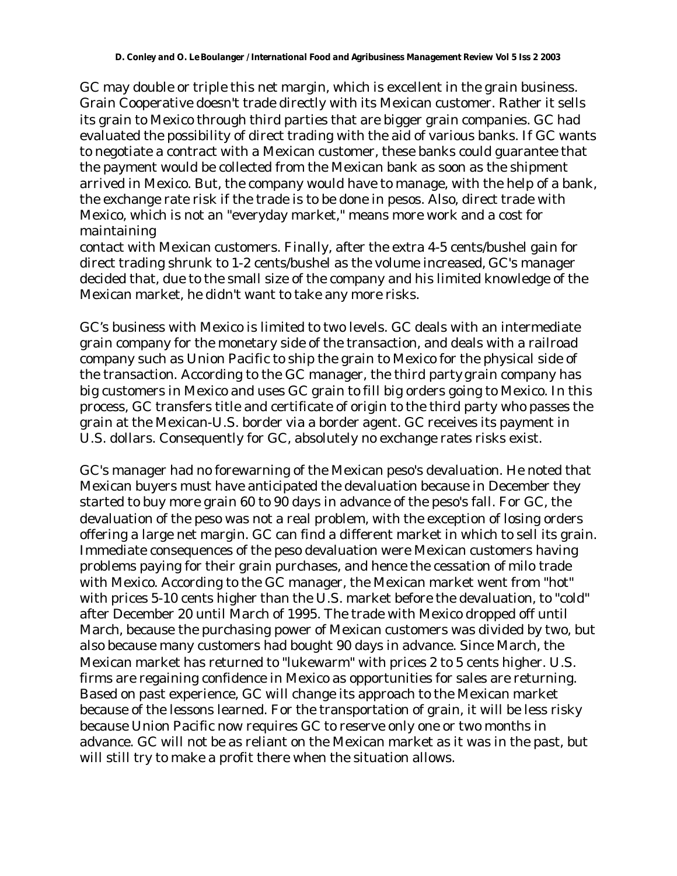GC may double or triple this net margin, which is excellent in the grain business. Grain Cooperative doesn't trade directly with its Mexican customer. Rather it sells its grain to Mexico through third parties that are bigger grain companies. GC had evaluated the possibility of direct trading with the aid of various banks. If GC wants to negotiate a contract with a Mexican customer, these banks could guarantee that the payment would be collected from the Mexican bank as soon as the shipment arrived in Mexico. But, the company would have to manage, with the help of a bank, the exchange rate risk if the trade is to be done in pesos. Also, direct trade with Mexico, which is not an "everyday market," means more work and a cost for maintaining

contact with Mexican customers. Finally, after the extra 4-5 cents/bushel gain for direct trading shrunk to 1-2 cents/bushel as the volume increased, GC's manager decided that, due to the small size of the company and his limited knowledge of the Mexican market, he didn't want to take any more risks.

GC's business with Mexico is limited to two levels. GC deals with an intermediate grain company for the monetary side of the transaction, and deals with a railroad company such as Union Pacific to ship the grain to Mexico for the physical side of the transaction. According to the GC manager, the third party grain company has big customers in Mexico and uses GC grain to fill big orders going to Mexico. In this process, GC transfers title and certificate of origin to the third party who passes the grain at the Mexican-U.S. border via a border agent. GC receives its payment in U.S. dollars. Consequently for GC, absolutely no exchange rates risks exist.

GC's manager had no forewarning of the Mexican peso's devaluation. He noted that Mexican buyers must have anticipated the devaluation because in December they started to buy more grain 60 to 90 days in advance of the peso's fall. For GC, the devaluation of the peso was not a real problem, with the exception of losing orders offering a large net margin. GC can find a different market in which to sell its grain. Immediate consequences of the peso devaluation were Mexican customers having problems paying for their grain purchases, and hence the cessation of milo trade with Mexico. According to the GC manager, the Mexican market went from "hot" with prices 5-10 cents higher than the U.S. market before the devaluation, to "cold" after December 20 until March of 1995. The trade with Mexico dropped off until March, because the purchasing power of Mexican customers was divided by two, but also because many customers had bought 90 days in advance. Since March, the Mexican market has returned to "lukewarm" with prices 2 to 5 cents higher. U.S. firms are regaining confidence in Mexico as opportunities for sales are returning. Based on past experience, GC will change its approach to the Mexican market because of the lessons learned. For the transportation of grain, it will be less risky because Union Pacific now requires GC to reserve only one or two months in advance. GC will not be as reliant on the Mexican market as it was in the past, but will still try to make a profit there when the situation allows.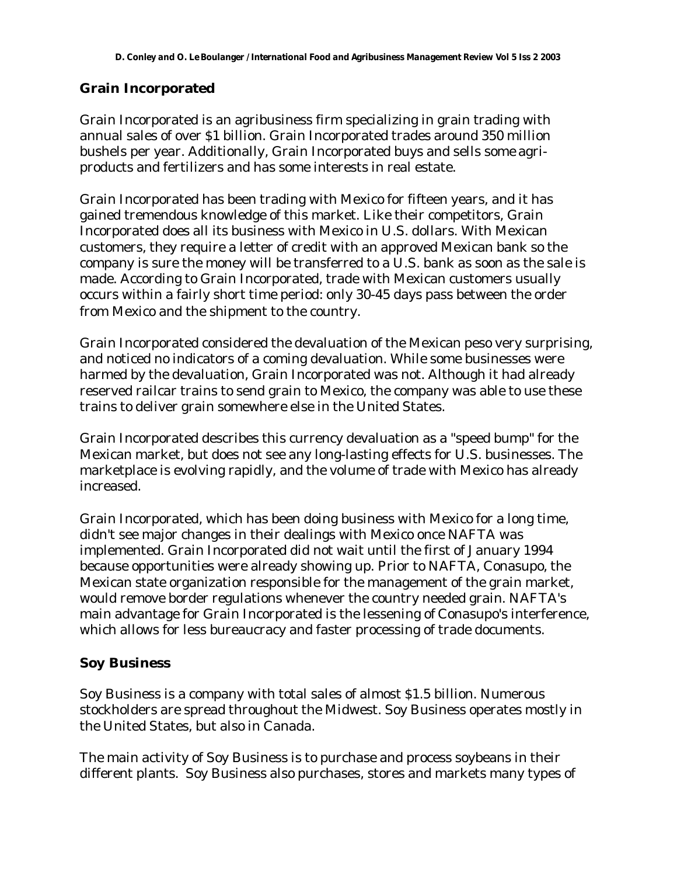#### **Grain Incorporated**

Grain Incorporated is an agribusiness firm specializing in grain trading with annual sales of over \$1 billion. Grain Incorporated trades around 350 million bushels per year. Additionally, Grain Incorporated buys and sells some agriproducts and fertilizers and has some interests in real estate.

Grain Incorporated has been trading with Mexico for fifteen years, and it has gained tremendous knowledge of this market. Like their competitors, Grain Incorporated does all its business with Mexico in U.S. dollars. With Mexican customers, they require a letter of credit with an approved Mexican bank so the company is sure the money will be transferred to a U.S. bank as soon as the sale is made. According to Grain Incorporated, trade with Mexican customers usually occurs within a fairly short time period: only 30-45 days pass between the order from Mexico and the shipment to the country.

Grain Incorporated considered the devaluation of the Mexican peso very surprising, and noticed no indicators of a coming devaluation. While some businesses were harmed by the devaluation, Grain Incorporated was not. Although it had already reserved railcar trains to send grain to Mexico, the company was able to use these trains to deliver grain somewhere else in the United States.

Grain Incorporated describes this currency devaluation as a "speed bump" for the Mexican market, but does not see any long-lasting effects for U.S. businesses. The marketplace is evolving rapidly, and the volume of trade with Mexico has already increased.

Grain Incorporated, which has been doing business with Mexico for a long time, didn't see major changes in their dealings with Mexico once NAFTA was implemented. Grain Incorporated did not wait until the first of January 1994 because opportunities were already showing up. Prior to NAFTA, Conasupo, the Mexican state organization responsible for the management of the grain market, would remove border regulations whenever the country needed grain. NAFTA's main advantage for Grain Incorporated is the lessening of Conasupo's interference, which allows for less bureaucracy and faster processing of trade documents.

#### **Soy Business**

Soy Business is a company with total sales of almost \$1.5 billion. Numerous stockholders are spread throughout the Midwest. Soy Business operates mostly in the United States, but also in Canada.

The main activity of Soy Business is to purchase and process soybeans in their different plants. Soy Business also purchases, stores and markets many types of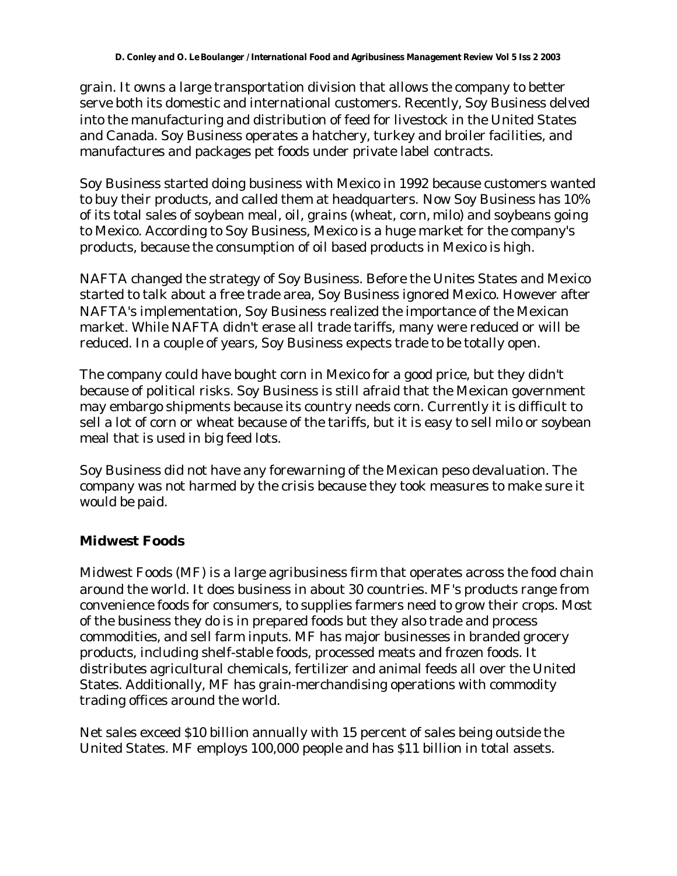grain. It owns a large transportation division that allows the company to better serve both its domestic and international customers. Recently, Soy Business delved into the manufacturing and distribution of feed for livestock in the United States and Canada. Soy Business operates a hatchery, turkey and broiler facilities, and manufactures and packages pet foods under private label contracts.

Soy Business started doing business with Mexico in 1992 because customers wanted to buy their products, and called them at headquarters. Now Soy Business has 10% of its total sales of soybean meal, oil, grains (wheat, corn, milo) and soybeans going to Mexico. According to Soy Business, Mexico is a huge market for the company's products, because the consumption of oil based products in Mexico is high.

NAFTA changed the strategy of Soy Business. Before the Unites States and Mexico started to talk about a free trade area, Soy Business ignored Mexico. However after NAFTA's implementation, Soy Business realized the importance of the Mexican market. While NAFTA didn't erase all trade tariffs, many were reduced or will be reduced. In a couple of years, Soy Business expects trade to be totally open.

The company could have bought corn in Mexico for a good price, but they didn't because of political risks. Soy Business is still afraid that the Mexican government may embargo shipments because its country needs corn. Currently it is difficult to sell a lot of corn or wheat because of the tariffs, but it is easy to sell milo or soybean meal that is used in big feed lots.

Soy Business did not have any forewarning of the Mexican peso devaluation. The company was not harmed by the crisis because they took measures to make sure it would be paid.

### **Midwest Foods**

Midwest Foods (MF) is a large agribusiness firm that operates across the food chain around the world. It does business in about 30 countries. MF's products range from convenience foods for consumers, to supplies farmers need to grow their crops. Most of the business they do is in prepared foods but they also trade and process commodities, and sell farm inputs. MF has major businesses in branded grocery products, including shelf-stable foods, processed meats and frozen foods. It distributes agricultural chemicals, fertilizer and animal feeds all over the United States. Additionally, MF has grain-merchandising operations with commodity trading offices around the world.

Net sales exceed \$10 billion annually with 15 percent of sales being outside the United States. MF employs 100,000 people and has \$11 billion in total assets.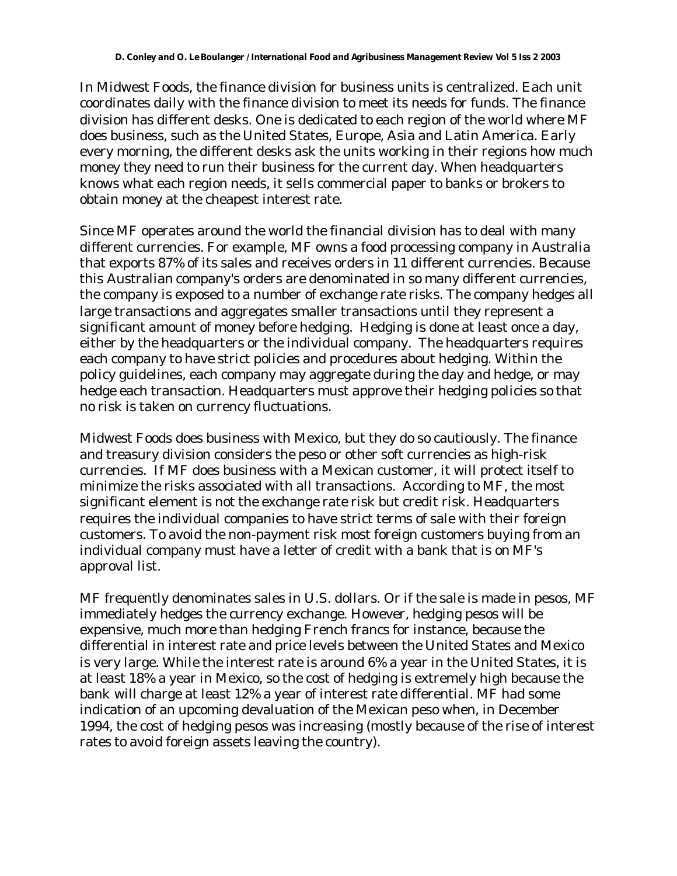In Midwest Foods, the finance division for business units is centralized. Each unit coordinates daily with the finance division to meet its needs for funds. The finance division has different desks. One is dedicated to each region of the world where MF does business, such as the United States, Europe, Asia and Latin America. Early every morning, the different desks ask the units working in their regions how much money they need to run their business for the current day. When headquarters knows what each region needs, it sells commercial paper to banks or brokers to obtain money at the cheapest interest rate.

Since MF operates around the world the financial division has to deal with many different currencies. For example, MF owns a food processing company in Australia that exports 87% of its sales and receives orders in 11 different currencies. Because this Australian company's orders are denominated in so many different currencies, the company is exposed to a number of exchange rate risks. The company hedges all large transactions and aggregates smaller transactions until they represent a significant amount of money before hedging. Hedging is done at least once a day, either by the headquarters or the individual company. The headquarters requires each company to have strict policies and procedures about hedging. Within the policy guidelines, each company may aggregate during the day and hedge, or may hedge each transaction. Headquarters must approve their hedging policies so that no risk is taken on currency fluctuations.

Midwest Foods does business with Mexico, but they do so cautiously. The finance and treasury division considers the peso or other soft currencies as high-risk currencies. If MF does business with a Mexican customer, it will protect itself to minimize the risks associated with all transactions. According to MF, the most significant element is not the exchange rate risk but credit risk. Headquarters requires the individual companies to have strict terms of sale with their foreign customers. To avoid the non-payment risk most foreign customers buying from an individual company must have a letter of credit with a bank that is on MF's approval list.

MF frequently denominates sales in U.S. dollars. Or if the sale is made in pesos, MF immediately hedges the currency exchange. However, hedging pesos will be expensive, much more than hedging French francs for instance, because the differential in interest rate and price levels between the United States and Mexico is very large. While the interest rate is around 6% a year in the United States, it is at least 18% a year in Mexico, so the cost of hedging is extremely high because the bank will charge at least 12% a year of interest rate differential. MF had some indication of an upcoming devaluation of the Mexican peso when, in December 1994, the cost of hedging pesos was increasing (mostly because of the rise of interest rates to avoid foreign assets leaving the country).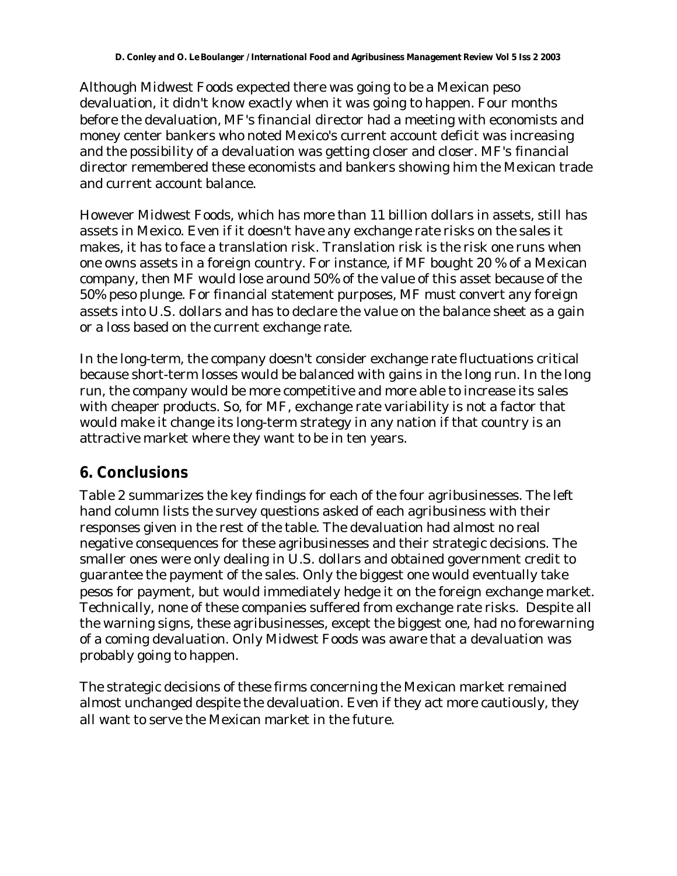Although Midwest Foods expected there was going to be a Mexican peso devaluation, it didn't know exactly when it was going to happen. Four months before the devaluation, MF's financial director had a meeting with economists and money center bankers who noted Mexico's current account deficit was increasing and the possibility of a devaluation was getting closer and closer. MF's financial director remembered these economists and bankers showing him the Mexican trade and current account balance.

However Midwest Foods, which has more than 11 billion dollars in assets, still has assets in Mexico. Even if it doesn't have any exchange rate risks on the sales it makes, it has to face a translation risk. Translation risk is the risk one runs when one owns assets in a foreign country. For instance, if MF bought 20 % of a Mexican company, then MF would lose around 50% of the value of this asset because of the 50% peso plunge. For financial statement purposes, MF must convert any foreign assets into U.S. dollars and has to declare the value on the balance sheet as a gain or a loss based on the current exchange rate.

In the long-term, the company doesn't consider exchange rate fluctuations critical because short-term losses would be balanced with gains in the long run. In the long run, the company would be more competitive and more able to increase its sales with cheaper products. So, for MF, exchange rate variability is not a factor that would make it change its long-term strategy in any nation if that country is an attractive market where they want to be in ten years.

# **6. Conclusions**

Table 2 summarizes the key findings for each of the four agribusinesses. The left hand column lists the survey questions asked of each agribusiness with their responses given in the rest of the table. The devaluation had almost no real negative consequences for these agribusinesses and their strategic decisions. The smaller ones were only dealing in U.S. dollars and obtained government credit to guarantee the payment of the sales. Only the biggest one would eventually take pesos for payment, but would immediately hedge it on the foreign exchange market. Technically, none of these companies suffered from exchange rate risks. Despite all the warning signs, these agribusinesses, except the biggest one, had no forewarning of a coming devaluation. Only Midwest Foods was aware that a devaluation was probably going to happen.

The strategic decisions of these firms concerning the Mexican market remained almost unchanged despite the devaluation. Even if they act more cautiously, they all want to serve the Mexican market in the future.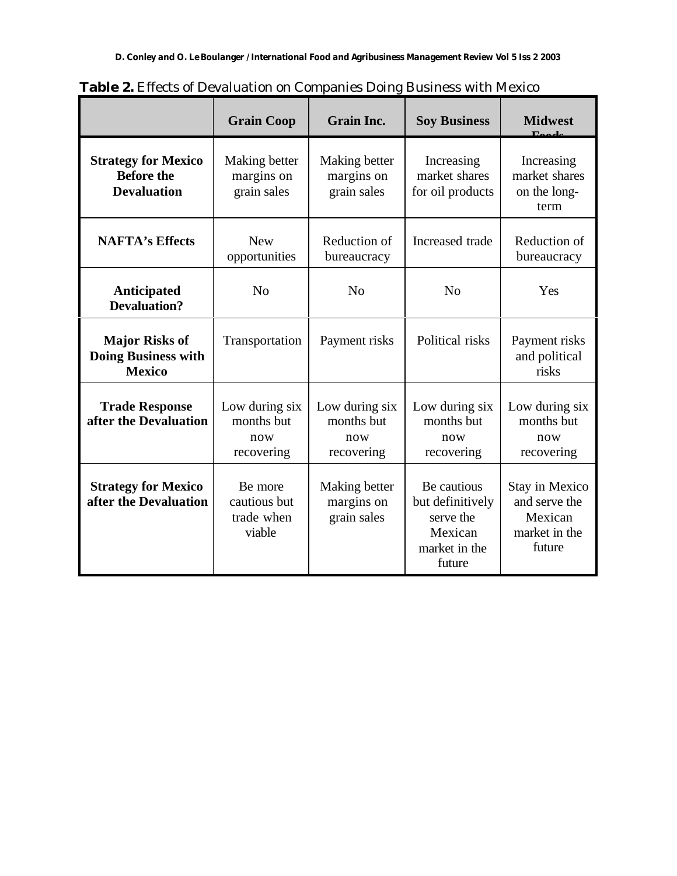|                                                                       | <b>Grain Coop</b>                                 | <b>Grain Inc.</b>                                 | <b>Soy Business</b>                                                                | <b>Midwest</b><br>$\Gamma_{\rm{eff}}$                                 |
|-----------------------------------------------------------------------|---------------------------------------------------|---------------------------------------------------|------------------------------------------------------------------------------------|-----------------------------------------------------------------------|
| <b>Strategy for Mexico</b><br><b>Before the</b><br><b>Devaluation</b> | Making better<br>margins on<br>grain sales        | Making better<br>margins on<br>grain sales        | Increasing<br>market shares<br>for oil products                                    | Increasing<br>market shares<br>on the long-<br>term                   |
| <b>NAFTA's Effects</b>                                                | <b>New</b><br>opportunities                       | Reduction of<br>bureaucracy                       | Increased trade                                                                    | Reduction of<br>bureaucracy                                           |
| Anticipated<br><b>Devaluation?</b>                                    | N <sub>0</sub>                                    | N <sub>o</sub>                                    | N <sub>o</sub>                                                                     | Yes                                                                   |
| <b>Major Risks of</b><br><b>Doing Business with</b><br><b>Mexico</b>  | Transportation                                    | Payment risks                                     | Political risks                                                                    | Payment risks<br>and political<br>risks                               |
| <b>Trade Response</b><br>after the Devaluation                        | Low during six<br>months but<br>now<br>recovering | Low during six<br>months but<br>now<br>recovering | Low during six<br>months but<br>now<br>recovering                                  | Low during six<br>months but<br>now<br>recovering                     |
| <b>Strategy for Mexico</b><br>after the Devaluation                   | Be more<br>cautious but<br>trade when<br>viable   | Making better<br>margins on<br>grain sales        | Be cautious<br>but definitively<br>serve the<br>Mexican<br>market in the<br>future | Stay in Mexico<br>and serve the<br>Mexican<br>market in the<br>future |

**Table 2.** Effects of Devaluation on Companies Doing Business with Mexico